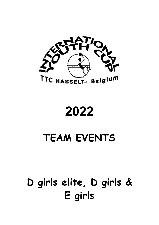

2022

# TEAM EVENTS

# D girls elite, D girls & E girls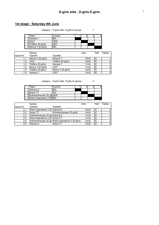#### 1st stage : Saturday 4th June

category : D-girls elite, D-girls & Igroup : 1

| Team                 | Country |  |  |
|----------------------|---------|--|--|
| 1 Hainaut 1          | 'BEI    |  |  |
| 2II SI F             | GFR     |  |  |
| 3 Treffers (D-girls) | NFD     |  |  |
| 4 Namur 2 (E-girls)  | BFI     |  |  |

|         | Games              |                    | time  | Hall | Tables |
|---------|--------------------|--------------------|-------|------|--------|
| Game N° | Team#1             | Team#2             |       |      |        |
| 1.1     | Namur 2 (E-girls)  | Hainaut 1          | 10h00 | Ш    |        |
| 1.2     | I SI F             | Treffers (D-girls) | 10h00 | Ш    |        |
| 1.3     | Treffers (D-girls) | Hainaut 1          | 11h30 | Ш    |        |
| 1.4     | Namur 2 (E-girls)  | LSLF               | 11h30 | Ш    |        |
| 1.5     | Treffers (D-girls) | Namur 2 (E-girls)  | 13h00 | Ш    |        |
| 1.6     | Hainaut 1          | LSLF               | 13h00 | Ш    | C      |

category : D-girls elite, D-girls & Igroup : 2

| Team                       | Countrv |  |  |
|----------------------------|---------|--|--|
| 1 Hainaut 2                | 3FI     |  |  |
| 2 Swiss TT                 | SUI     |  |  |
| 3 Erdmannhausen (E-gir GER |         |  |  |
| 4 West-Vlaanderen 2 (E BEL |         |  |  |

|               | Games                                            |                         | time              | Hall | Tables |
|---------------|--------------------------------------------------|-------------------------|-------------------|------|--------|
| Game N°       | Team#1                                           | Team#2                  |                   |      |        |
| 2.1           | West-Vlaanderen 2 (E Hainaut 2)                  |                         | 10 <sub>h00</sub> | Ш    |        |
| 22            | Swiss TT                                         | Erdmannhausen (E-girls) | 10h00             | Ш    |        |
| 2.3           | Erdmannhausen (E-gir Hainaut 2                   |                         | 11h30             | Ш    |        |
| 2.4           | West-Vlaanderen 2 (E Swiss TT                    |                         | 11h30             | Ш    |        |
| $2.5^{\circ}$ | Erdmannhausen (E-gir West-Vlaanderen 2 (E-girls) |                         | 13h00             | Ш    |        |
| 2.6           | Hainaut 2                                        | Swiss TT                | 13h00             | Ш    |        |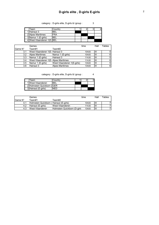#### D-girls elite , D-girls E-girls <sup>2</sup>

category : D-girls elite, D-girls & Igroup : 3

Team Country | 1 2 3 4<br>|Hainaut 3 BEL | 1 2 3 4 1 Hainaut 3 BEL<br>2 Alpes Maritimes FRA 2 Alpes Maritimes FRA 3 Namur 1 (E-girls) BEL 4|West-Vlaanderen 1(E-|BEL

|         | Games                                |                            | time  | Hall | Tables |
|---------|--------------------------------------|----------------------------|-------|------|--------|
| Game N° | Team#1                               | Team#2                     |       |      |        |
| 3.1     | West-Vlaanderen 1(E-Hainaut 3)       |                            | 10h00 | Ш    |        |
| 3.2     | Alpes Maritimes                      | Namur 1 (E-girls)          | 10h00 | Ш    | 6      |
| 3.3     | Namur 1 (E-girls)                    | Hainaut 3                  | 11h30 | Ш    | 5      |
| 3.4     | West-Vlaanderen 1(E- Alpes Maritimes |                            | 11h30 | Ш    | 6      |
| 3.5     | Namur 1 (E-girls)                    | West-Vlaanderen 1(E-girls) | 13h00 | Ш    | 5      |
| 3.6     | Hainaut 3                            | <b>Alpes Maritimes</b>     | 13h00 | Ш    |        |

category : D-girls elite, D-girls & Igroup : 4

| Team                       | Countrv |  |  |
|----------------------------|---------|--|--|
| 1 West-Vlaanderen          | BFI     |  |  |
| 2 Holmstein Quickborn (GER |         |  |  |
| 3 Hainaut (E-girls)        |         |  |  |

|          | Games                                  |                              | time  | Hall | Tables |
|----------|----------------------------------------|------------------------------|-------|------|--------|
| IGame N° | Team#1                                 | Team#2                       |       |      |        |
|          | Holmstein Quickborn (Hainaut (E-girls) |                              | 10h00 | łш   |        |
|          | Hainaut (E-girls)                      | West-Vlaanderen              | 11h30 | Ш    |        |
| 4.3      | West-Vlaanderen                        | Holmstein Quickborn (D-girls | 13h00 | Ш    |        |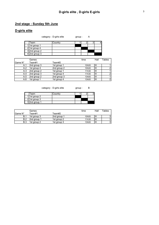#### 2nd stage : Sunday 5th June

#### D-girls elite

| Team            | Country |  |  |
|-----------------|---------|--|--|
| 1 1st group 1   |         |  |  |
| $2$ 1st group 4 |         |  |  |
| 32nd group 2    |         |  |  |
| 42nd group 3    |         |  |  |

category : D-girls elite group : A

|         | Games       |             | time  | Hall | <b>Tables</b> |
|---------|-------------|-------------|-------|------|---------------|
| Game N° | Team#1      | Team#2      |       |      |               |
| A.1     | 2nd group 3 | 1st group 1 | 10h00 | Ш    |               |
| A.2     | 1st group 4 | 2nd group 2 | 10h00 | Ш    |               |
| A.3     | 2nd group 2 | 1st group 1 | 11h30 | Ш    |               |
| A.4     | 2nd group 3 | 1st group 4 | 11h30 | Ш    |               |
| A.5     | 2nd group 2 | 2nd group 3 | 13h00 | Ш    |               |
| A.6     | 1st group 1 | 1st group 4 | 13h00 | Ш    |               |

category : D-girls elite group : B

| Team          | Country |  |  |
|---------------|---------|--|--|
| 1 1st group 2 |         |  |  |
| 2 1st group 3 |         |  |  |
| 32nd group 1  |         |  |  |

|         | Games       |             | time  | Hall | $\tau$ ables |
|---------|-------------|-------------|-------|------|--------------|
| Game N° | Team#1      | Team#2      |       |      |              |
| B.1     | 1st group 3 | 2nd group 1 | 10h00 | Ш    |              |
| B.2     | 2nd group 1 | 1st group 2 | 11h30 | lill |              |
| В.З     | 1st group 2 | 1st group 3 | 13h00 | Ш    |              |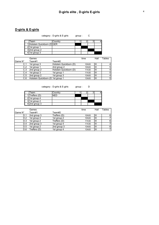## D-girls & E-girls

category : D-girls & E-girls group : C

| Team                        | Countrv |  |  |
|-----------------------------|---------|--|--|
| 1 Holstein Quickborn (DIGER |         |  |  |
| 2 1st group 1               |         |  |  |
| 32nd group 2                |         |  |  |
| 1st group 3                 |         |  |  |

|         | Games                              |                        | time  | Hall | Tables |
|---------|------------------------------------|------------------------|-------|------|--------|
| Game N° | Team#1                             | Team#2                 |       |      |        |
| C.1     | 1st group 3                        | Holstein Quickborn (D) | 10h00 | Ш    |        |
| C.2     | 1st group 1                        | 2nd group 2            | 10h00 | Ш    | 5      |
| C.3     | 2nd group 2                        | Holstein Quickborn (D) | 11h30 | Ш    |        |
| C.4     | 1st group 3                        | 1st group 1            | 11h30 | Ш    | 5      |
| C.5     | 2nd group 2                        | 1st group 3            | 13h00 | Ш    |        |
| C.6     | Holstein Quickborn (D' 1st group 1 |                        | 13h00 | Ш    | 5      |

category : D-girls & E-girls group : D

| Team                        | Country |  |  |
|-----------------------------|---------|--|--|
| $\overline{1}$ Treffers (D) | JEL     |  |  |
| $2$  1st group 4            |         |  |  |
| $3$  1st group 2            |         |  |  |
| $4$  2nd group 3            |         |  |  |

|         | Games        |              | time  | Hall | Tables         |
|---------|--------------|--------------|-------|------|----------------|
| Game N° | Team#1       | Team#2       |       |      |                |
| D.1     | 2nd group 3  | Treffers (D) | 10h00 | Ш    | 6              |
| D.2     | 1st group 4  | 1st group 2  | 10h00 | Ш    |                |
| D.3     | 1st group 2  | Treffers (D) | 11h30 | Ш    | 6 <sup>1</sup> |
| D.4     | 2nd group 3  | 1st group 4  | 11h30 | Ш    |                |
| D.5     | 1st group 2  | 2nd group 3  | 13h00 | Ш    | 6              |
| D.6     | Treffers (D) | 1st group 4  | 13h00 | Ш    |                |